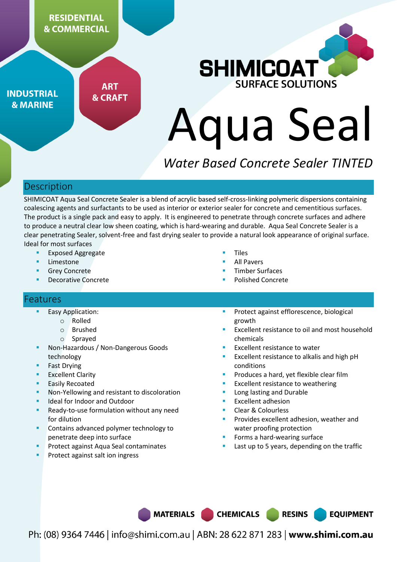

**INDUSTRIAL & MARINE** 

**ART & CRAFT** 



# Aqua Seal

# *Water Based Concrete Sealer TINTED*

# **Description**

SHIMICOAT Aqua Seal Concrete Sealer is a blend of acrylic based self-cross-linking polymeric dispersions containing coalescing agents and surfactants to be used as interior or exterior sealer for concrete and cementitious surfaces. The product is a single pack and easy to apply. It is engineered to penetrate through concrete surfaces and adhere to produce a neutral clear low sheen coating, which is hard-wearing and durable. Aqua Seal Concrete Sealer is a clear penetrating Sealer, solvent-free and fast drying sealer to provide a natural look appearance of original surface. Ideal for most surfaces

- Exposed Aggregate
- Limestone
- Grey Concrete
- Decorative Concrete
- Tiles
- All Pavers
- Timber Surfaces
- Polished Concrete

### **Features**

- Easy Application:
	- o Rolled
		- o Brushed
		- o Sprayed
- Non-Hazardous / Non-Dangerous Goods technology
- Fast Drying
- Excellent Clarity
- Easily Recoated
- Non-Yellowing and resistant to discoloration
- Ideal for Indoor and Outdoor
- Ready-to-use formulation without any need for dilution
- Contains advanced polymer technology to penetrate deep into surface
- Protect against Aqua Seal contaminates
- Protect against salt ion ingress
- Protect against efflorescence, biological growth
- Excellent resistance to oil and most household chemicals
- Excellent resistance to water
- Excellent resistance to alkalis and high pH conditions
- Produces a hard, yet flexible clear film
- Excellent resistance to weathering
- Long lasting and Durable
- Excellent adhesion
- Clear & Colourless
- Provides excellent adhesion, weather and water proofing protection
- Forms a hard-wearing surface
- Last up to 5 years, depending on the traffic

**RESINS** 

**EQUIPMENT** 

MATERIALS |

Ph: (08) 9364 7446 | info@shimi.com.au | ABN: 28 622 871 283 | www.shimi.com.au

**CHEMICALS**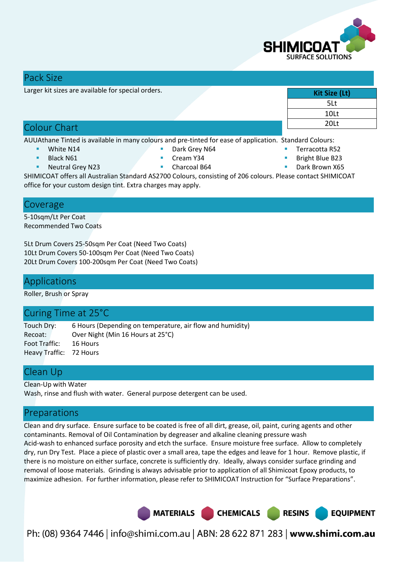

### Pack Size

Larger kit sizes are available for special orders.

# Colour Chart

AUUAthane Tinted is available in many colours and pre-tinted for ease of application. Standard Colours:

- White N14
- Black N61
- Neutral Grey N23
- Cream Y34
- Charcoal B64
- SHIMICOAT offers all Australian Standard AS2700 Colours, consisting of 206 colours. Please contact SHIMICOAT office for your custom design tint. Extra charges may apply.

### Coverage

5-10sqm/Lt Per Coat Recommended Two Coats

5Lt Drum Covers 25-50sqm Per Coat (Need Two Coats) 10Lt Drum Covers 50-100sqm Per Coat (Need Two Coats) 20Lt Drum Covers 100-200sqm Per Coat (Need Two Coats)

### Applications

Roller, Brush or Spray

### Curing Time at 25°C

Touch Dry: 6 Hours (Depending on temperature, air flow and humidity) Recoat: Over Night (Min 16 Hours at 25°C) Foot Traffic: 16 Hours Heavy Traffic: 72 Hours

# Clean Up

Clean-Up with Water Wash, rinse and flush with water. General purpose detergent can be used.

# Preparations

Clean and dry surface. Ensure surface to be coated is free of all dirt, grease, oil, paint, curing agents and other contaminants. Removal of Oil Contamination by degreaser and alkaline cleaning pressure wash Acid-wash to enhanced surface porosity and etch the surface. Ensure moisture free surface. Allow to completely dry, run Dry Test. Place a piece of plastic over a small area, tape the edges and leave for 1 hour. Remove plastic, if there is no moisture on either surface, concrete is sufficiently dry. Ideally, always consider surface grinding and removal of loose materials. Grinding is always advisable prior to application of all Shimicoat Epoxy products, to maximize adhesion. For further information, please refer to SHIMICOAT Instruction for "Surface Preparations".



Ph: (08) 9364 7446 | info@shimi.com.au | ABN: 28 622 871 283 | www.shimi.com.au

- **Kit Size (Lt)**  5Lt 10Lt 20Lt
- Terracotta R52
- Bright Blue B23
- Dark Brown X65

Dark Grey N64